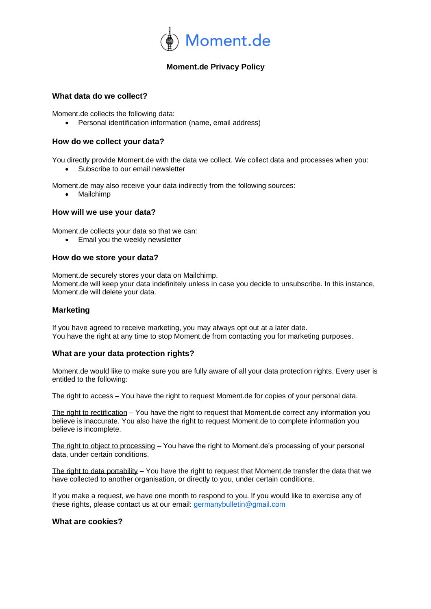

# **Moment.de Privacy Policy**

## **What data do we collect?**

Moment.de collects the following data:

• Personal identification information (name, email address)

## **How do we collect your data?**

You directly provide Moment.de with the data we collect. We collect data and processes when you:

Subscribe to our email newsletter

Moment.de may also receive your data indirectly from the following sources:

• Mailchimp

## **How will we use your data?**

Moment.de collects your data so that we can:

• Email you the weekly newsletter

## **How do we store your data?**

Moment.de securely stores your data on Mailchimp. Moment.de will keep your data indefinitely unless in case you decide to unsubscribe. In this instance, Moment.de will delete your data.

## **Marketing**

If you have agreed to receive marketing, you may always opt out at a later date. You have the right at any time to stop Moment.de from contacting you for marketing purposes.

## **What are your data protection rights?**

Moment.de would like to make sure you are fully aware of all your data protection rights. Every user is entitled to the following:

The right to access – You have the right to request Moment.de for copies of your personal data.

The right to rectification – You have the right to request that Moment.de correct any information you believe is inaccurate. You also have the right to request Moment.de to complete information you believe is incomplete.

The right to object to processing – You have the right to Moment.de's processing of your personal data, under certain conditions.

The right to data portability – You have the right to request that Moment.de transfer the data that we have collected to another organisation, or directly to you, under certain conditions.

If you make a request, we have one month to respond to you. If you would like to exercise any of these rights, please contact us at our email: [germanybulletin@gmail.com](mailto:germanybulletin@gmail.com)

## **What are cookies?**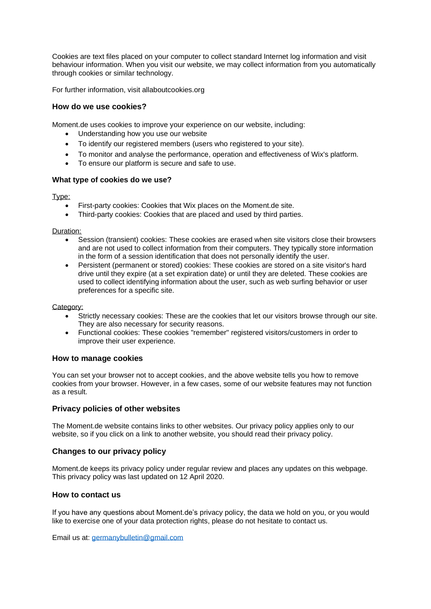Cookies are text files placed on your computer to collect standard Internet log information and visit behaviour information. When you visit our website, we may collect information from you automatically through cookies or similar technology.

For further information, visit allaboutcookies.org

## **How do we use cookies?**

Moment.de uses cookies to improve your experience on our website, including:

- Understanding how you use our website
- To identify our registered members (users who registered to your site).
- To monitor and analyse the performance, operation and effectiveness of Wix's platform.
- To ensure our platform is secure and safe to use.

#### **What type of cookies do we use?**

Type:

- First-party cookies: Cookies that Wix places on the Moment.de site.
- Third-party cookies: Cookies that are placed and used by third parties.

Duration:

- Session (transient) cookies: These cookies are erased when site visitors close their browsers and are not used to collect information from their computers. They typically store information in the form of a session identification that does not personally identify the user.
- Persistent (permanent or stored) cookies: These cookies are stored on a site visitor's hard drive until they expire (at a set expiration date) or until they are deleted. These cookies are used to collect identifying information about the user, such as web surfing behavior or user preferences for a specific site.

Category:

- Strictly necessary cookies: These are the cookies that let our visitors browse through our site. They are also necessary for security reasons.
- Functional cookies: These cookies "remember" registered visitors/customers in order to improve their user experience.

#### **How to manage cookies**

You can set your browser not to accept cookies, and the above website tells you how to remove cookies from your browser. However, in a few cases, some of our website features may not function as a result.

## **Privacy policies of other websites**

The Moment.de website contains links to other websites. Our privacy policy applies only to our website, so if you click on a link to another website, you should read their privacy policy.

## **Changes to our privacy policy**

Moment.de keeps its privacy policy under regular review and places any updates on this webpage. This privacy policy was last updated on 12 April 2020.

## **How to contact us**

If you have any questions about Moment.de's privacy policy, the data we hold on you, or you would like to exercise one of your data protection rights, please do not hesitate to contact us.

Email us at: [germanybulletin@gmail.com](mailto:germanybulletin@gmail.com)